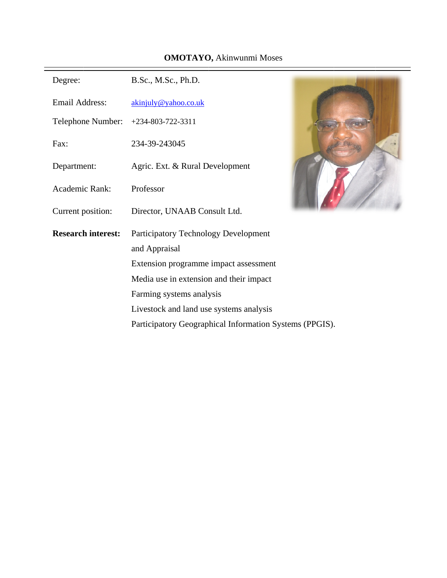## **OMOTAYO**, Akinwunmi Moses

| Degree:                   | B.Sc., M.Sc., Ph.D.                                     |  |  |
|---------------------------|---------------------------------------------------------|--|--|
| <b>Email Address:</b>     | akinjuly@yahoo.co.uk                                    |  |  |
| Telephone Number:         | $+234 - 803 - 722 - 3311$                               |  |  |
| Fax:                      | 234-39-243045                                           |  |  |
| Department:               | Agric. Ext. & Rural Development                         |  |  |
| Academic Rank:            | Professor                                               |  |  |
| Current position:         | Director, UNAAB Consult Ltd.                            |  |  |
| <b>Research interest:</b> | Participatory Technology Development                    |  |  |
|                           | and Appraisal                                           |  |  |
|                           | Extension programme impact assessment                   |  |  |
|                           | Media use in extension and their impact                 |  |  |
|                           | Farming systems analysis                                |  |  |
|                           | Livestock and land use systems analysis                 |  |  |
|                           | Participatory Geographical Information Systems (PPGIS). |  |  |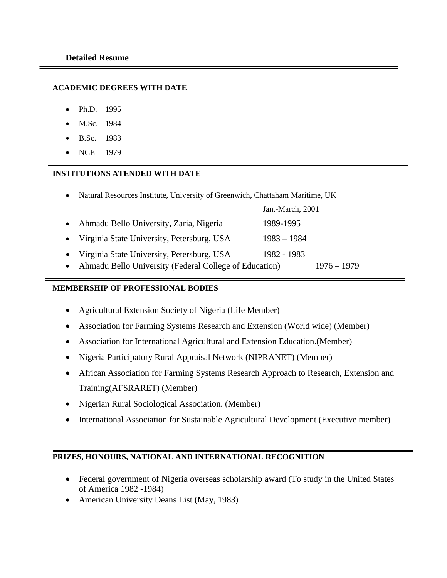### **ACADEMIC DEGREES WITH DATE**

- Ph.D. 1995
- M.Sc. 1984
- B.Sc. 1983
- NCE 1979

### **INSTITUTIONS ATENDED WITH DATE**

• Natural Resources Institute, University of Greenwich, Chattaham Maritime, UK

|                                                          | Jan.-March, 2001 |               |
|----------------------------------------------------------|------------------|---------------|
| • Ahmadu Bello University, Zaria, Nigeria                | 1989-1995        |               |
| • Virginia State University, Petersburg, USA             | $1983 - 1984$    |               |
| • Virginia State University, Petersburg, USA             | 1982 - 1983      |               |
| • Ahmadu Bello University (Federal College of Education) |                  | $1976 - 1979$ |

## **MEMBERSHIP OF PROFESSIONAL BODIES**

- Agricultural Extension Society of Nigeria (Life Member)
- Association for Farming Systems Research and Extension (World wide) (Member)
- Association for International Agricultural and Extension Education.(Member)
- Nigeria Participatory Rural Appraisal Network (NIPRANET) (Member)
- African Association for Farming Systems Research Approach to Research, Extension and Training(AFSRARET) (Member)
- Nigerian Rural Sociological Association. (Member)
- International Association for Sustainable Agricultural Development (Executive member)

## **PRIZES, HONOURS, NATIONAL AND INTERNATIONAL RECOGNITION**

- Federal government of Nigeria overseas scholarship award (To study in the United States of America 1982 -1984)
- American University Deans List (May, 1983)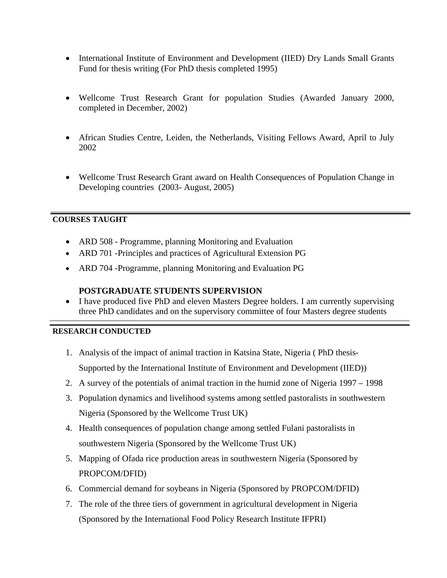- International Institute of Environment and Development (IIED) Dry Lands Small Grants Fund for thesis writing (For PhD thesis completed 1995)
- Wellcome Trust Research Grant for population Studies (Awarded January 2000, completed in December, 2002)
- African Studies Centre, Leiden, the Netherlands, Visiting Fellows Award, April to July 2002
- Wellcome Trust Research Grant award on Health Consequences of Population Change in Developing countries (2003- August, 2005)

## **COURSES TAUGHT**

- ARD 508 Programme, planning Monitoring and Evaluation
- ARD 701 -Principles and practices of Agricultural Extension PG
- ARD 704 -Programme, planning Monitoring and Evaluation PG

# **POSTGRADUATE STUDENTS SUPERVISION**

• I have produced five PhD and eleven Masters Degree holders. I am currently supervising three PhD candidates and on the supervisory committee of four Masters degree students

# **RESEARCH CONDUCTED**

- 1. Analysis of the impact of animal traction in Katsina State, Nigeria ( PhD thesis-Supported by the International Institute of Environment and Development (IIED))
- 2. A survey of the potentials of animal traction in the humid zone of Nigeria 1997 1998
- 3. Population dynamics and livelihood systems among settled pastoralists in southwestern Nigeria (Sponsored by the Wellcome Trust UK)
- 4. Health consequences of population change among settled Fulani pastoralists in southwestern Nigeria (Sponsored by the Wellcome Trust UK)
- 5. Mapping of Ofada rice production areas in southwestern Nigeria (Sponsored by PROPCOM/DFID)
- 6. Commercial demand for soybeans in Nigeria (Sponsored by PROPCOM/DFID)
- 7. The role of the three tiers of government in agricultural development in Nigeria (Sponsored by the International Food Policy Research Institute IFPRI)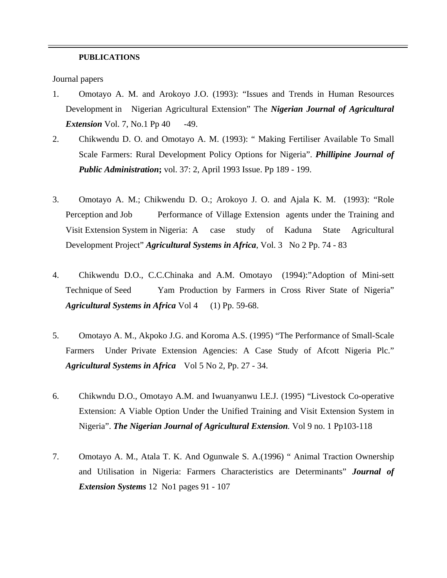#### **PUBLICATIONS**

Journal papers

- 1. Omotayo A. M. and Arokoyo J.O. (1993): "Issues and Trends in Human Resources Development in Nigerian Agricultural Extension" The *Nigerian Journal of Agricultural Extension* Vol. 7, No.1 Pp 40 -49.
- 2. Chikwendu D. O. and Omotayo A. M. (1993): " Making Fertiliser Available To Small Scale Farmers: Rural Development Policy Options for Nigeria". *Phillipine Journal of Public Administration***;** vol. 37: 2, April 1993 Issue. Pp 189 - 199.
- 3. Omotayo A. M.; Chikwendu D. O.; Arokoyo J. O. and Ajala K. M. (1993): "Role Perception and Job Performance of Village Extension agents under the Training and Visit Extension System in Nigeria: A case study of Kaduna State Agricultural Development Project" *Agricultural Systems in Africa*, Vol. 3 No 2 Pp. 74 - 83
- 4. Chikwendu D.O., C.C.Chinaka and A.M. Omotayo (1994):"Adoption of Mini-sett Technique of Seed Yam Production by Farmers in Cross River State of Nigeria" *Agricultural Systems in Africa* Vol 4 (1) Pp. 59-68.
- 5. Omotayo A. M., Akpoko J.G. and Koroma A.S. (1995) "The Performance of Small-Scale Farmers Under Private Extension Agencies: A Case Study of Afcott Nigeria Plc." *Agricultural Systems in Africa* Vol 5 No 2, Pp. 27 - 34.
- 6. Chikwndu D.O., Omotayo A.M. and Iwuanyanwu I.E.J. (1995) "Livestock Co-operative Extension: A Viable Option Under the Unified Training and Visit Extension System in Nigeria". *The Nigerian Journal of Agricultural Extension.* Vol 9 no. 1 Pp103-118
- 7. Omotayo A. M., Atala T. K. And Ogunwale S. A.(1996) " Animal Traction Ownership and Utilisation in Nigeria: Farmers Characteristics are Determinants" *Journal of Extension Systems* 12 No1 pages 91 - 107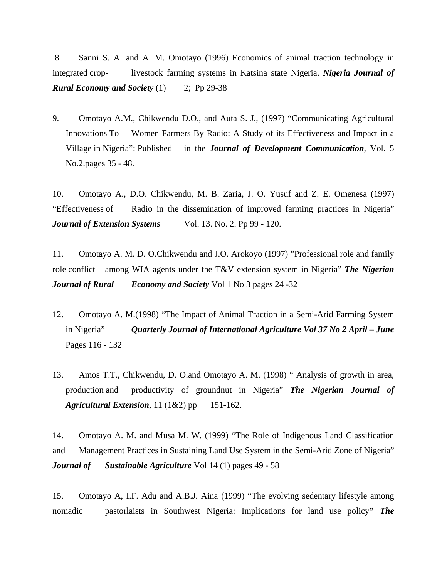8. Sanni S. A. and A. M. Omotayo (1996) Economics of animal traction technology in integrated crop- livestock farming systems in Katsina state Nigeria. *Nigeria Journal of Rural Economy and Society* (1) 2; Pp 29-38

9. Omotayo A.M., Chikwendu D.O., and Auta S. J., (1997) "Communicating Agricultural Innovations To Women Farmers By Radio: A Study of its Effectiveness and Impact in a Village in Nigeria": Published in the *Journal of Development Communication*, Vol. 5 No.2.pages 35 - 48.

10. Omotayo A., D.O. Chikwendu, M. B. Zaria, J. O. Yusuf and Z. E. Omenesa (1997) "Effectiveness of Radio in the dissemination of improved farming practices in Nigeria" *Journal of Extension Systems* Vol. 13. No. 2. Pp 99 - 120.

11. Omotayo A. M. D. O.Chikwendu and J.O. Arokoyo (1997) "Professional role and family role conflict among WIA agents under the T&V extension system in Nigeria" *The Nigerian Journal of Rural Economy and Society* Vol 1 No 3 pages 24 -32

- 12. Omotayo A. M.(1998) "The Impact of Animal Traction in a Semi-Arid Farming System in Nigeria" *Quarterly Journal of International Agriculture Vol 37 No 2 April – June*  Pages 116 - 132
- 13. Amos T.T., Chikwendu, D. O.and Omotayo A. M. (1998) " Analysis of growth in area, production and productivity of groundnut in Nigeria" *The Nigerian Journal of Agricultural Extension*, 11 (1&2) pp 151-162.

14. Omotayo A. M. and Musa M. W. (1999) "The Role of Indigenous Land Classification and Management Practices in Sustaining Land Use System in the Semi-Arid Zone of Nigeria" *Journal of Sustainable Agriculture* Vol 14 (1) pages 49 - 58

15. Omotayo A, I.F. Adu and A.B.J. Aina (1999) "The evolving sedentary lifestyle among nomadic pastorlaists in Southwest Nigeria: Implications for land use policy*" The*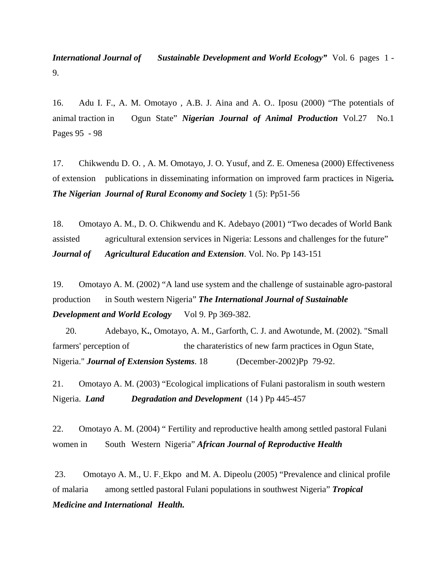**International Journal of** Sustainable Development and World Ecology" Vol. 6 pages 1 -9.

16. Adu I. F., A. M. Omotayo , A.B. J. Aina and A. O.. Iposu (2000) "The potentials of animal traction in Ogun State" *Nigerian Journal of Animal Production* Vol.27 No.1 Pages 95 - 98

17. Chikwendu D. O. , A. M. Omotayo, J. O. Yusuf, and Z. E. Omenesa (2000) Effectiveness of extension publications in disseminating information on improved farm practices in Nigeria*. The Nigerian Journal of Rural Economy and Society* 1 (5): Pp51-56

18. Omotayo A. M., D. O. Chikwendu and K. Adebayo (2001) "Two decades of World Bank assisted agricultural extension services in Nigeria: Lessons and challenges for the future" *Journal of Agricultural Education and Extension*. Vol. No. Pp 143-151

19. Omotayo A. M. (2002) "A land use system and the challenge of sustainable agro-pastoral production in South western Nigeria" *The International Journal of Sustainable Development and World Ecology* Vol 9. Pp 369-382.

 20. Adebayo, K**.**, Omotayo, A. M., Garforth, C. J. and Awotunde, M. (2002). "Small farmers' perception of the charateristics of new farm practices in Ogun State, Nigeria." *Journal of Extension Systems*. 18 (December-2002)Pp 79-92.

21. Omotayo A. M. (2003) "Ecological implications of Fulani pastoralism in south western Nigeria. *Land Degradation and Development* (14 ) Pp 445-457

22. Omotayo A. M. (2004) " Fertility and reproductive health among settled pastoral Fulani women in South Western Nigeria" *African Journal of Reproductive Health* 

 23. Omotayo A. M., U. F. Ekpo and M. A. Dipeolu (2005) "Prevalence and clinical profile of malaria among settled pastoral Fulani populations in southwest Nigeria" *Tropical Medicine and International Health.*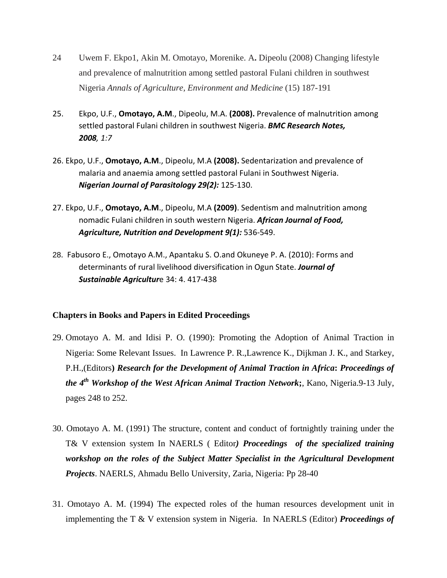- 24 Uwem F. Ekpo1, Akin M. Omotayo, Morenike. A**.** Dipeolu (2008) Changing lifestyle and prevalence of malnutrition among settled pastoral Fulani children in southwest Nigeria *Annals of Agriculture, Environment and Medicine* (15) 187-191
- 25. Ekpo, U.F., **Omotayo, A.M**., Dipeolu, M.A. **(2008).** Prevalence of malnutrition among settled pastoral Fulani children in southwest Nigeria. *BMC Research Notes, 2008, 1:7*
- 26. Ekpo, U.F., **Omotayo, A.M**., Dipeolu, M.A **(2008).** Sedentarization and prevalence of malaria and anaemia among settled pastoral Fulani in Southwest Nigeria. *Nigerian Journal of Parasitology 29(2):* 125‐130.
- 27. Ekpo, U.F., **Omotayo, A.M**., Dipeolu, M.A **(2009)**. Sedentism and malnutrition among nomadic Fulani children in south western Nigeria. *African Journal of Food, Agriculture, Nutrition and Development 9(1):* 536‐549.
- 28. Fabusoro E., Omotayo A.M., Apantaku S. O.and Okuneye P. A. (2010): Forms and determinants of rural livelihood diversification in Ogun State. *Journal of Sustainable Agricultur*e 34: 4. 417‐438

## **Chapters in Books and Papers in Edited Proceedings**

- 29. Omotayo A. M. and Idisi P. O. (1990): Promoting the Adoption of Animal Traction in Nigeria: Some Relevant Issues. In Lawrence P. R.,Lawrence K., Dijkman J. K., and Starkey, P.H.,(Editors**)** *Research for the Development of Animal Traction in Africa***:** *Proceedings of the 4th Workshop of the West African Animal Traction Network***;**, Kano, Nigeria.9-13 July, pages 248 to 252.
- 30. Omotayo A. M. (1991) The structure, content and conduct of fortnightly training under the T& V extension system In NAERLS ( Editor*) Proceedings of the specialized training workshop on the roles of the Subject Matter Specialist in the Agricultural Development Projects*. NAERLS, Ahmadu Bello University, Zaria, Nigeria: Pp 28-40
- 31. Omotayo A. M. (1994) The expected roles of the human resources development unit in implementing the T & V extension system in Nigeria. In NAERLS (Editor) *Proceedings of*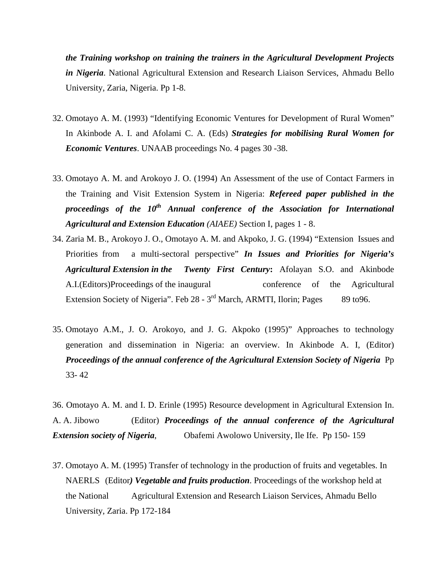*the Training workshop on training the trainers in the Agricultural Development Projects in Nigeria*. National Agricultural Extension and Research Liaison Services, Ahmadu Bello University, Zaria, Nigeria. Pp 1-8.

- 32. Omotayo A. M. (1993) "Identifying Economic Ventures for Development of Rural Women" In Akinbode A. I. and Afolami C. A. (Eds) *Strategies for mobilising Rural Women for Economic Ventures*. UNAAB proceedings No. 4 pages 30 -38.
- 33. Omotayo A. M. and Arokoyo J. O. (1994) An Assessment of the use of Contact Farmers in the Training and Visit Extension System in Nigeria: *Refereed paper published in the proceedings of the 10<sup>th</sup> Annual conference of the Association for International Agricultural and Extension Education (AIAEE)* Section I, pages 1 - 8.
- 34. Zaria M. B., Arokoyo J. O., Omotayo A. M. and Akpoko, J. G. (1994) "Extension Issues and Priorities from a multi-sectoral perspective" *In Issues and Priorities for Nigeria's Agricultural Extension in the Twenty First Century***:** Afolayan S.O. and Akinbode A.I.(Editors)Proceedings of the inaugural conference of the Agricultural Extension Society of Nigeria". Feb  $28 - 3<sup>rd</sup>$  March, ARMTI, Ilorin; Pages 89 to 96.
- 35. Omotayo A.M., J. O. Arokoyo, and J. G. Akpoko (1995)" Approaches to technology generation and dissemination in Nigeria: an overview. In Akinbode A. I, (Editor) *Proceedings of the annual conference of the Agricultural Extension Society of Nigeria* Pp 33- 42

36. Omotayo A. M. and I. D. Erinle (1995) Resource development in Agricultural Extension In. A. A. Jibowo (Editor) *Proceedings of the annual conference of the Agricultural Extension society of Nigeria*, Obafemi Awolowo University, Ile Ife. Pp 150- 159

37. Omotayo A. M. (1995) Transfer of technology in the production of fruits and vegetables. In NAERLS (Editor*) Vegetable and fruits production*. Proceedings of the workshop held at the National Agricultural Extension and Research Liaison Services, Ahmadu Bello University, Zaria. Pp 172-184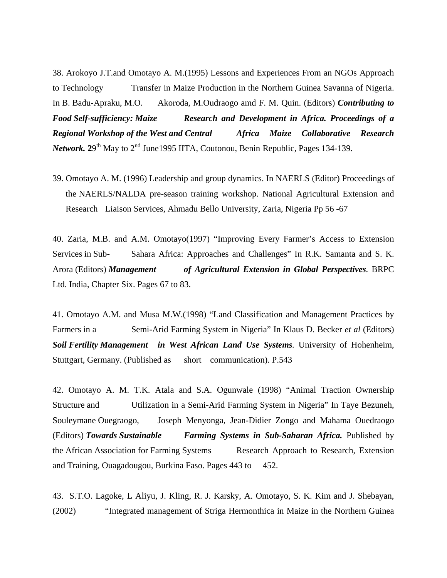38. Arokoyo J.T.and Omotayo A. M.(1995) Lessons and Experiences From an NGOs Approach to Technology Transfer in Maize Production in the Northern Guinea Savanna of Nigeria. In B. Badu-Apraku, M.O. Akoroda, M.Oudraogo amd F. M. Quin. (Editors) *Contributing to Food Self-sufficiency: Maize Research and Development in Africa. Proceedings of a Regional Workshop of the West and Central Africa Maize Collaborative Research Network.*  $29^{th}$  May to  $2^{nd}$  June1995 IITA, Coutonou, Benin Republic, Pages 134-139.

39. Omotayo A. M. (1996) Leadership and group dynamics. In NAERLS (Editor) Proceedings of the NAERLS/NALDA pre-season training workshop. National Agricultural Extension and Research Liaison Services, Ahmadu Bello University, Zaria, Nigeria Pp 56 -67

40. Zaria, M.B. and A.M. Omotayo(1997) "Improving Every Farmer's Access to Extension Services in Sub- Sahara Africa: Approaches and Challenges" In R.K. Samanta and S. K. Arora (Editors) *Management of Agricultural Extension in Global Perspectives.* BRPC Ltd. India, Chapter Six. Pages 67 to 83.

41. Omotayo A.M. and Musa M.W.(1998) "Land Classification and Management Practices by Farmers in a Semi-Arid Farming System in Nigeria" In Klaus D. Becker *et al* (Editors) *Soil Fertility Management in West African Land Use Systems.* University of Hohenheim, Stuttgart, Germany. (Published as short communication). P.543

42. Omotayo A. M. T.K. Atala and S.A. Ogunwale (1998) "Animal Traction Ownership Structure and Utilization in a Semi-Arid Farming System in Nigeria" In Taye Bezuneh, Souleymane Ouegraogo, Joseph Menyonga, Jean-Didier Zongo and Mahama Ouedraogo (Editors) *Towards Sustainable Farming Systems in Sub-Saharan Africa.* Published by the African Association for Farming Systems Research Approach to Research, Extension and Training, Ouagadougou, Burkina Faso. Pages 443 to 452.

43. S.T.O. Lagoke, L Aliyu, J. Kling, R. J. Karsky, A. Omotayo, S. K. Kim and J. Shebayan, (2002) "Integrated management of Striga Hermonthica in Maize in the Northern Guinea